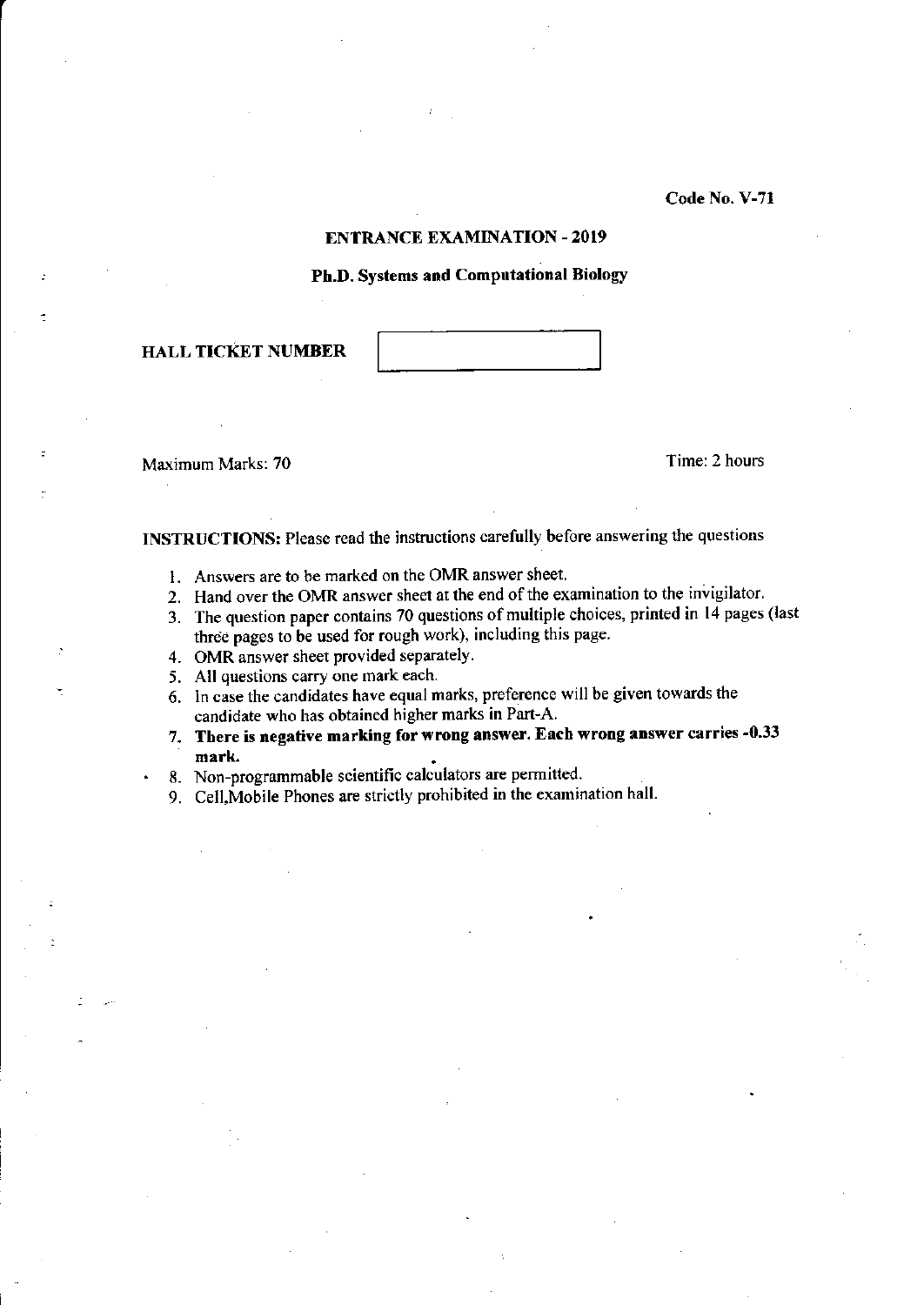Code No. V-71

### ENTRANCE EXAMINATION - 2019

# Ph,D. Systems and Computational Biology

HALL TICKET NUMBER

Maximum Marks: 70 Time: 2 hours

INSTRUCTIONS: Please read the instructions carefully before answering the questions

- 1. Answers are to be marked on the OMR answer sheet
- 2. Hand over the OMR answer sheet at the end of the examination to the invigilator.
- 3. The question paper contains 70 questions of multiple choices, printed in 14 pages (last three pages to be used for rough work), including this page.
- 4. OMR answer sheet provided separately.
- 5. All questions carry one mark each.
- 6. ln case the candidates have equal marks, preference will be given towards the candidate who has obtained higher marks in Part-A
- 7. There is negative marking for wrong answer. Each wrong answer carries -0.33 mark
- . 8. Non-programmable scientific calculators are permitted.
- 9. Cell,Mobile Phones are strictly prohibited in the examination hall.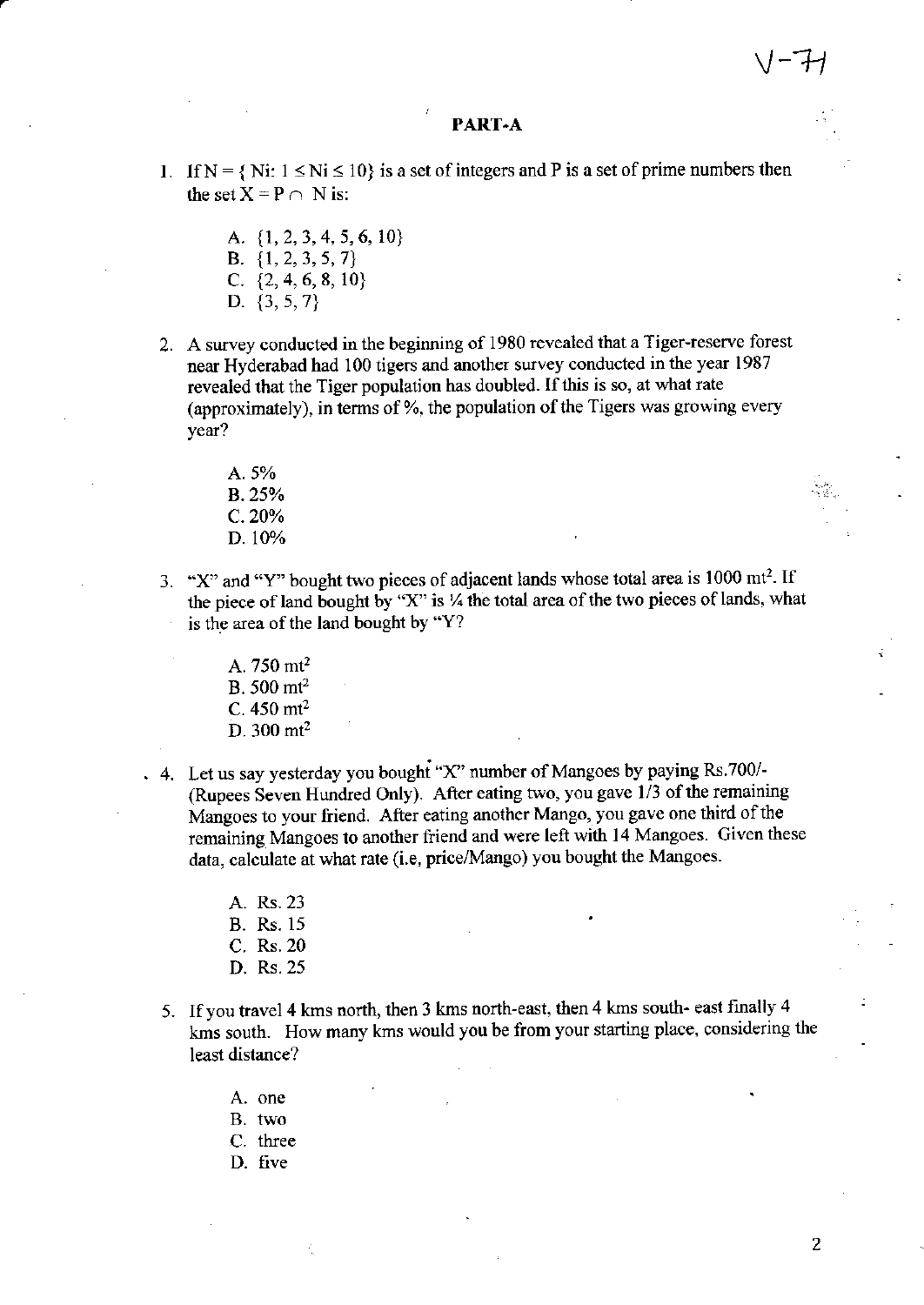#### PART-A

- 1. If N = { Ni:  $1 \le Ni \le 10$ } is a set of integers and P is a set of prime numbers then the set  $X = P \cap N$  is:
	- A. {1, 2, 3, 4, 5, 6, 10} B.  $\{1, 2, 3, 5, 7\}$ C.  $\{2, 4, 6, 8, 10\}$ D.  $\{3, 5, 7\}$
- 2. A survey conducted in the beginning of 1980 revealed that a Tiger-reserve forest near Hyderabad had 100 tigers and another survey conducted in the year 1987 revealed that the Tiger population has doubled. If this is so, at what rate (approximately), in terms of %, the population of the Tigers was growing every year?
	- A. 5% B. 25%  $C. 20%$ D. 10%
- 3. "X" and "Y" bought two pieces of adjacent lands whose total area is 1000 mt<sup>2</sup>. If the piece of land bought by "X" is 1/4 the total area of the two pieces of lands, what is the area of the land bought by "Y?
	- A.  $750 \text{ m}t^2$  $B. 500$  mt<sup>2</sup> C.  $450 \text{ mt}^2$  $D. 300$  mt<sup>2</sup>
- . 4. Let us say vesterday you bought "X" number of Mangoes by paying Rs.700/-(Rupees Seven Hundred Only). After eating two, you gave 1/3 of the remaining Mangoes to your friend. After eating another Mango, you gave one third of the remaining Mangoes to another friend and were left with 14 Mangoes. Given these data, calculate at what rate (i.e, price/Mango) you bought the Mangoes.
	- A. Rs. 23
	- **B.** Rs. 15
	- C. Rs. 20
	- D. Rs. 25
	- 5. If you travel 4 kms north, then 3 kms north-east, then 4 kms south-east finally 4 kms south. How many kms would you be from your starting place, considering the least distance?
		- A. one
		- B. two
		- C. three
		- D. five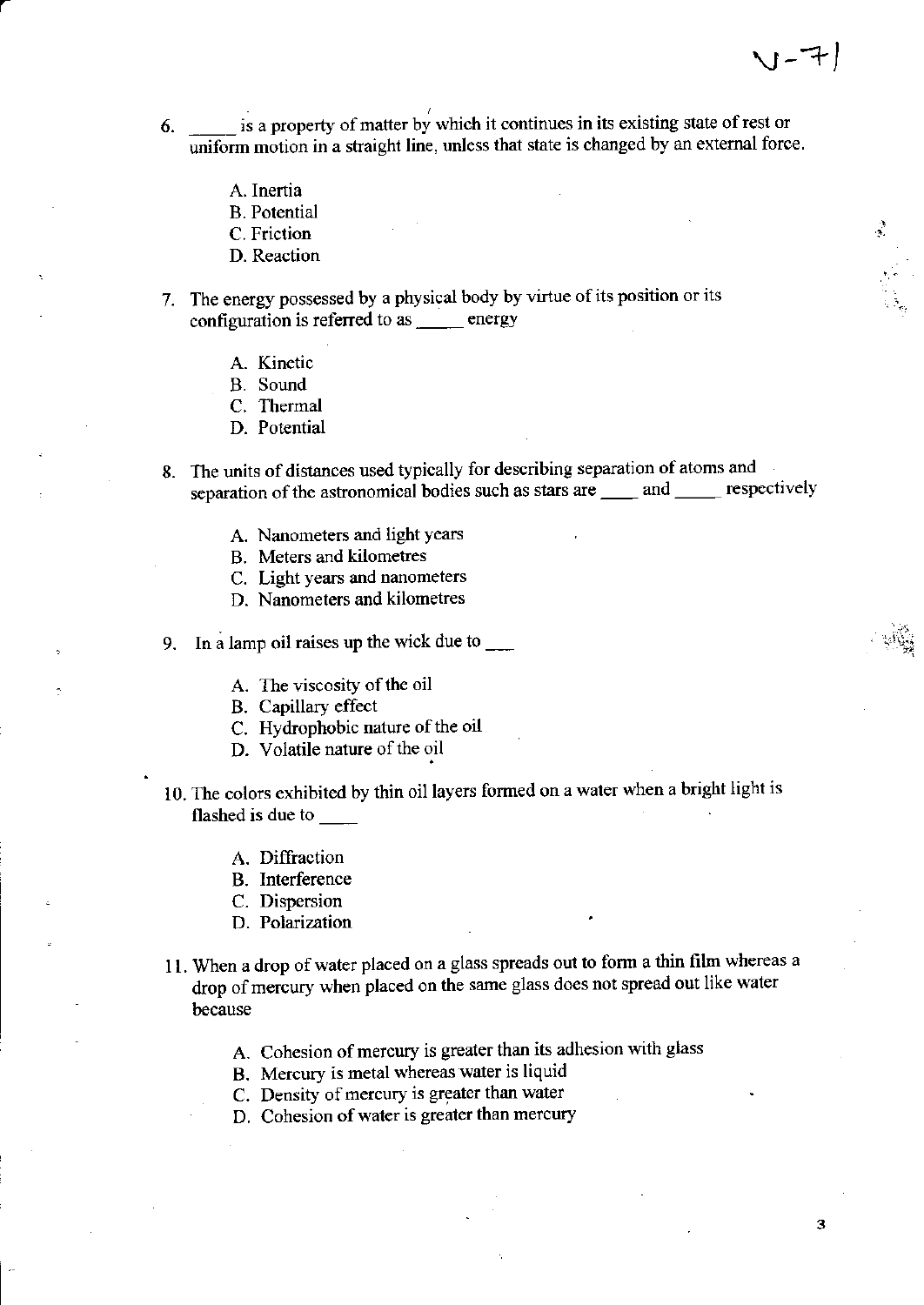- 6.  $\frac{1}{\sqrt{1-\frac{1}{\sqrt{1-\frac{1}{\sqrt{1-\frac{1}{\sqrt{1-\frac{1}{\sqrt{1-\frac{1}{\sqrt{1-\frac{1}{\sqrt{1-\frac{1}{\sqrt{1-\frac{1}{\sqrt{1-\frac{1}{\sqrt{1-\frac{1}{\sqrt{1-\frac{1}{\sqrt{1-\frac{1}{\sqrt{1-\frac{1}{\sqrt{1-\frac{1}{\sqrt{1-\frac{1}{\sqrt{1-\frac{1}{\sqrt{1-\frac{1}{\sqrt{1-\frac{1}{\sqrt{1-\frac{1}{\sqrt{1-\frac{1}{\sqrt{1-\frac{1}{\sqrt{1-\frac{1}{\sqrt{1-\frac{1}{\sqrt{1-\$ uniform motion in a straight line, unless that state is changed by an external force.
	- A. Inertia
	- B. Potential
	- C. Friction
	- D. Reaction
- 7. The energy possessed by a physical body by virtue of its position or its configuration is referred to as \_\_\_\_ energy
	- A. Kinetic
	- B. Sound
	- C. Thermal
	- D. Potential
- 8. The units of distances used typically for describing separation of atoms and separation of the astronomical bodies such as stars are \_\_\_\_\_ and \_\_\_\_\_\_ respectively
	- A. Nanometers and light years
	- B. Meters and kilometres
	- C. Light years and nanometers
	- D. Nanometers and kilometres
- 9. In a lamp oil raises up the wick due to  $\frac{1}{\sqrt{2\pi}}$ 
	- A. The viscosity of the oil
	- B. Capillary effect
	- C. Hydrophobic nature of the oil
	- D. Volatile nature of the oil
- 10. The colors exhibited by thin oil layers formed on a water when a bright light is flashed is due to \_\_\_\_\_\_
	- A. Diffraction
	- B. Interference
	- C. Dispersion
	- D. Polarization
- 11. When a drop of water placed on a glass spreads out to form a thin film whereas a drop of mercury when placed on the same glass does not spread out like water because
	- A. Cohesion of mercury is greater than its adhesion with glass
	- B. Mercury is metal whereas water is liquid
	- C. Density of mercury is greater than water
	- D. Cohesion of water is greater than mercury

l-rt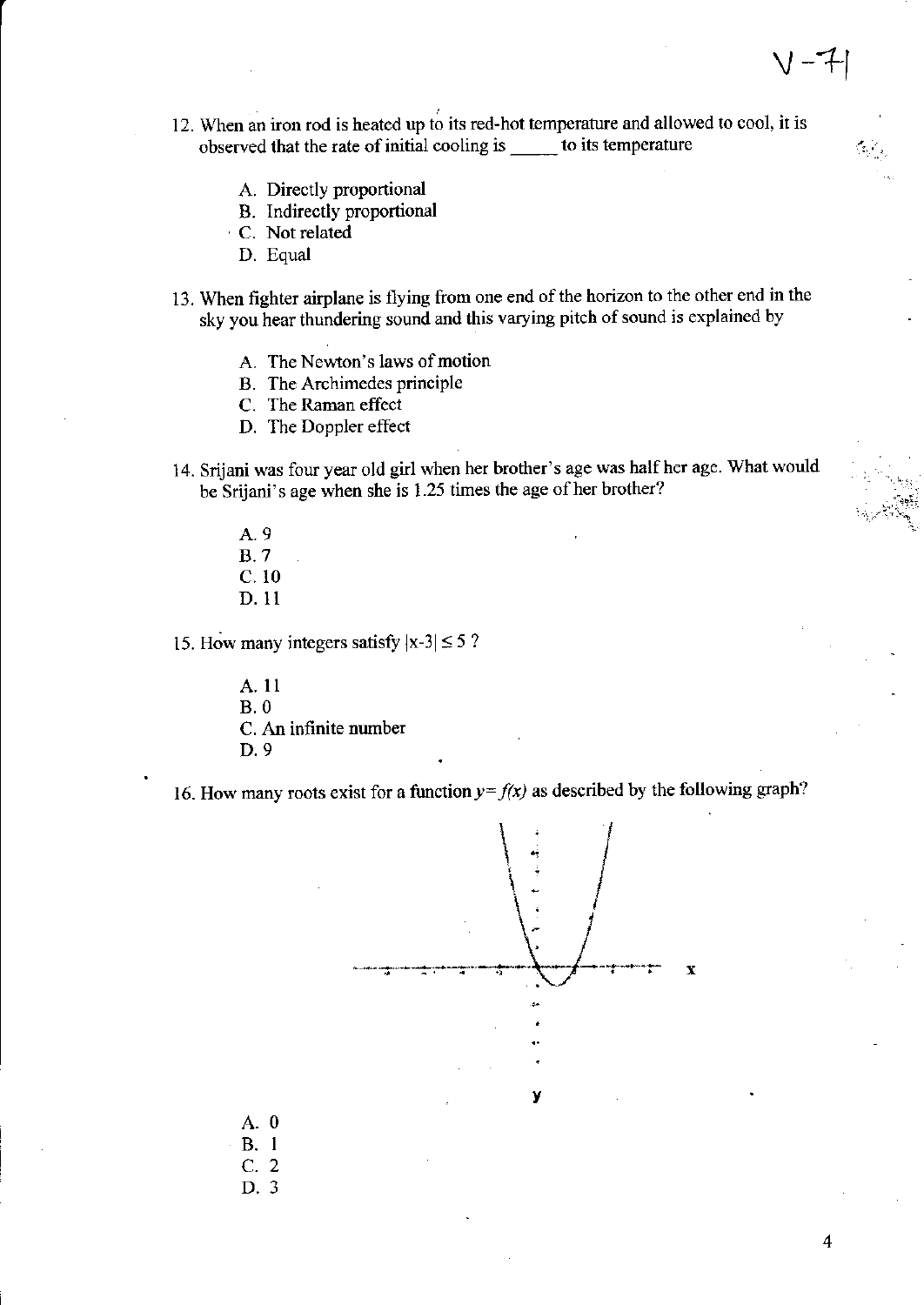- 12. When an iron rod is heated up to its red-hot temperature and allowed to cool, it is observed that the rate of initial cooling is \_\_\_\_\_\_ to its temperature
	- A. Directly proportional
	- B. Indirectly proportional
	- C. Not related
		- D. Equal
- 13. When fighter airplane is flying from one end of the horizon to the other end in the sky you hear thundering sound and this varying pitch of sound is explained by
	- A. The Newton's laws of motion
	- B. The Archimedes principle
	- C. The Raman effect
	- D. The Doppler effect
- 14. Srijani was four year old girl when her brother's age was half her age. What would be Srijani's age when she is 1.25 times the age of her brother?
	- A.9 8.7 c. 10 D. l1

15. How many integers satisfy  $|x-3| \leq 5$ ?

A. ll B.0 C. An infinite number D.9

16. How many roots exist for a function  $y = f(x)$  as described by the following graph?



4

 $V - 7$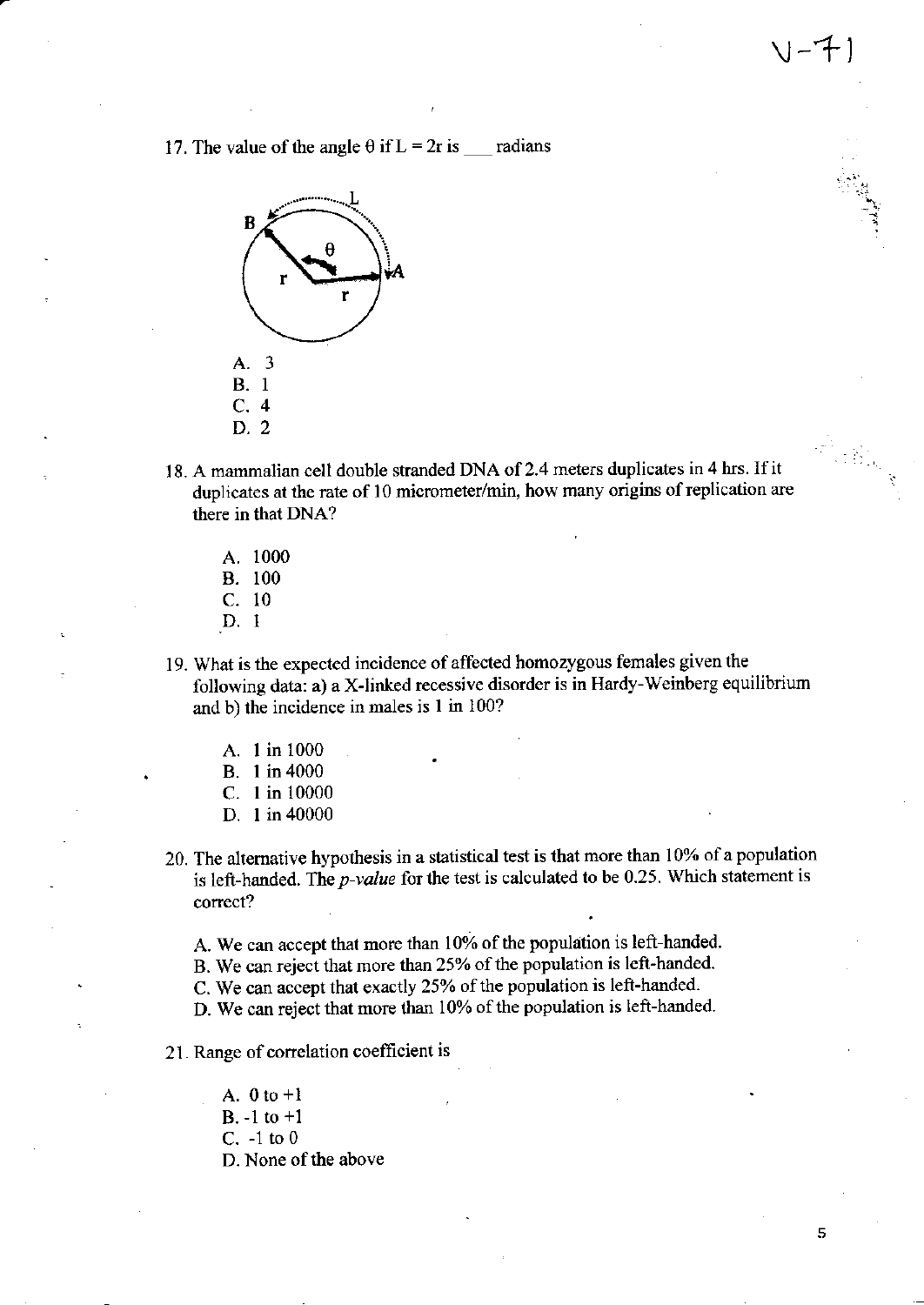17. The value of the angle  $\theta$  if L = 2r is radians



18. A mammalian cell double stranded DNA of 2.4 meters duplicates in 4 hrs. If it duplicates at the rate of 10 micrometer/min, how many origins of replication are there in that DNA?

 $V-1$ 

5

- A. <sup>1000</sup> B. <sup>100</sup> c. <sup>10</sup>
- .D. I
- <sup>1</sup>9. What is the expected incidence of affected homozygous females given the following data: a) a X-linked recessive disorder is in Hardy-Weinberg equilibrium and b) the incidence in males is 1 in 100?
	- A. I in <sup>1000</sup>
	- B. I in <sup>4000</sup>
	- C. I in <sup>10000</sup>
	- D. I in 40000
- 20. The alternative hypothesis in a statistical test is that more than 10% of a population is left-handed. The  $p$ -value for the test is calculated to be 0.25. Which statement is correct?
	- A. We can accept that more than 10% of the population is left-handed.
	- B. We can reject that more than 25yo of the population is left-handed.
	- C. We can accept that exactly 25% of the population is left-handed.
	- D. We can reject that more than 10% of the population is left-handed.

#### 21. Range of correlation coefficient is

A.  $0$  to  $+1$ B. -l to +1 C.  $-1$  to  $0$ D. None of the above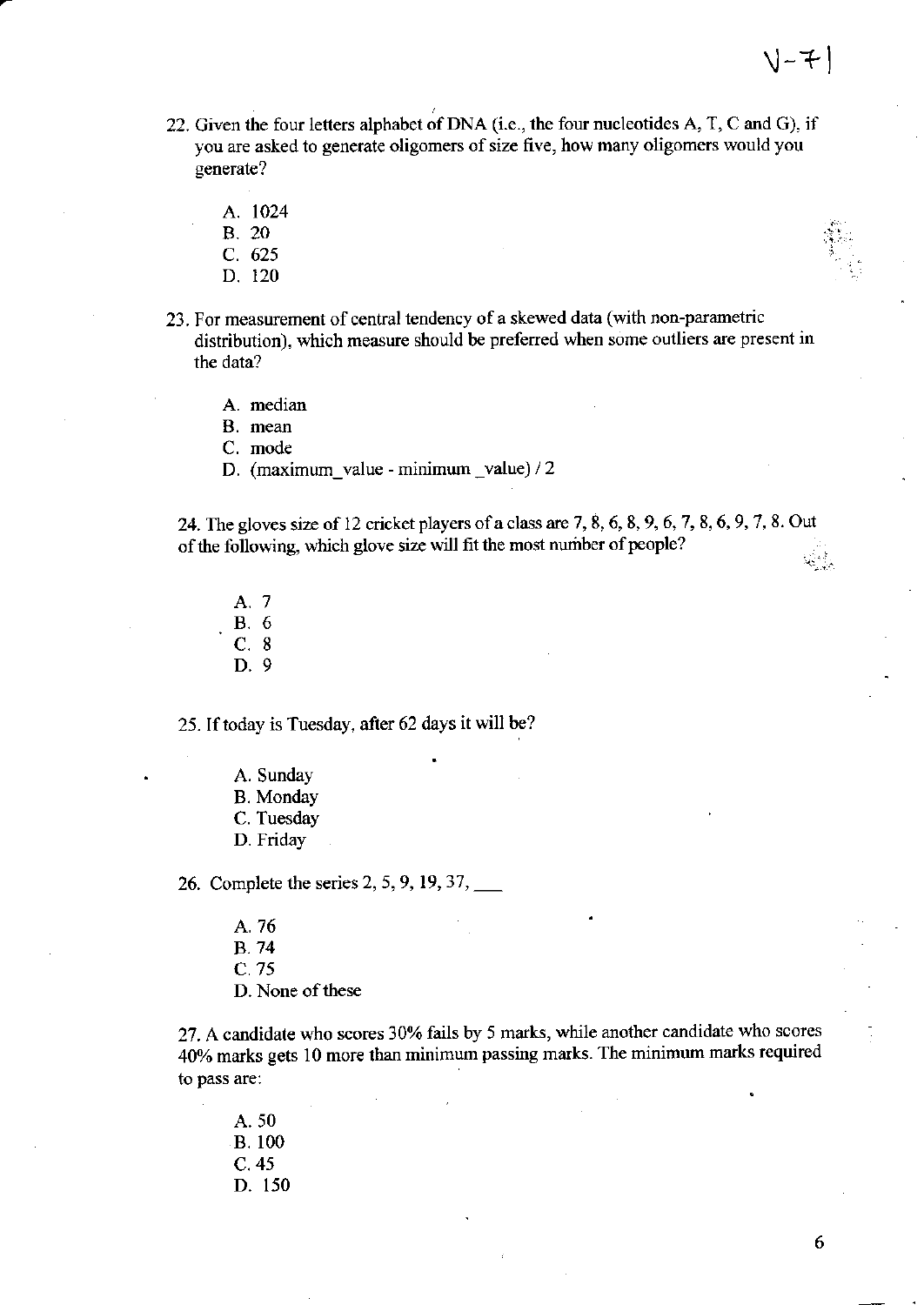- 22. Given the four letters alphabet of DNA (i.e., the four nucleotides A, T, C and G), if you are asked to generate oligomers of size five, how many oligomers would you generate?
	- A. 1024

**B.** 20

- C. 625
- D. 120
- 23. For measurement of central tendency of a skewed data (with non-parametric distribution), which measure should be preferred when some outliers are present in the data?
	- A. median

B. mean

C. mode

D. (maximum value - minimum value) / 2

24. The gloves size of 12 cricket players of a class are 7, 8, 6, 8, 9, 6, 7, 8, 6, 9, 7, 8. Out of the following, which glove size will fit the most number of people?

- A. 7 **B.** 6  $C.8$
- $D.9$

25. If today is Tuesday, after 62 days it will be?

A. Sunday **B.** Monday C. Tuesday D. Friday

26. Complete the series 2, 5, 9, 19, 37,

A. 76 **B.74**  $C.75$ D. None of these

27. A candidate who scores 30% fails by 5 marks, while another candidate who scores 40% marks gets 10 more than minimum passing marks. The minimum marks required to pass are:

A. 50 **B.100**  $C.45$ D. 150

6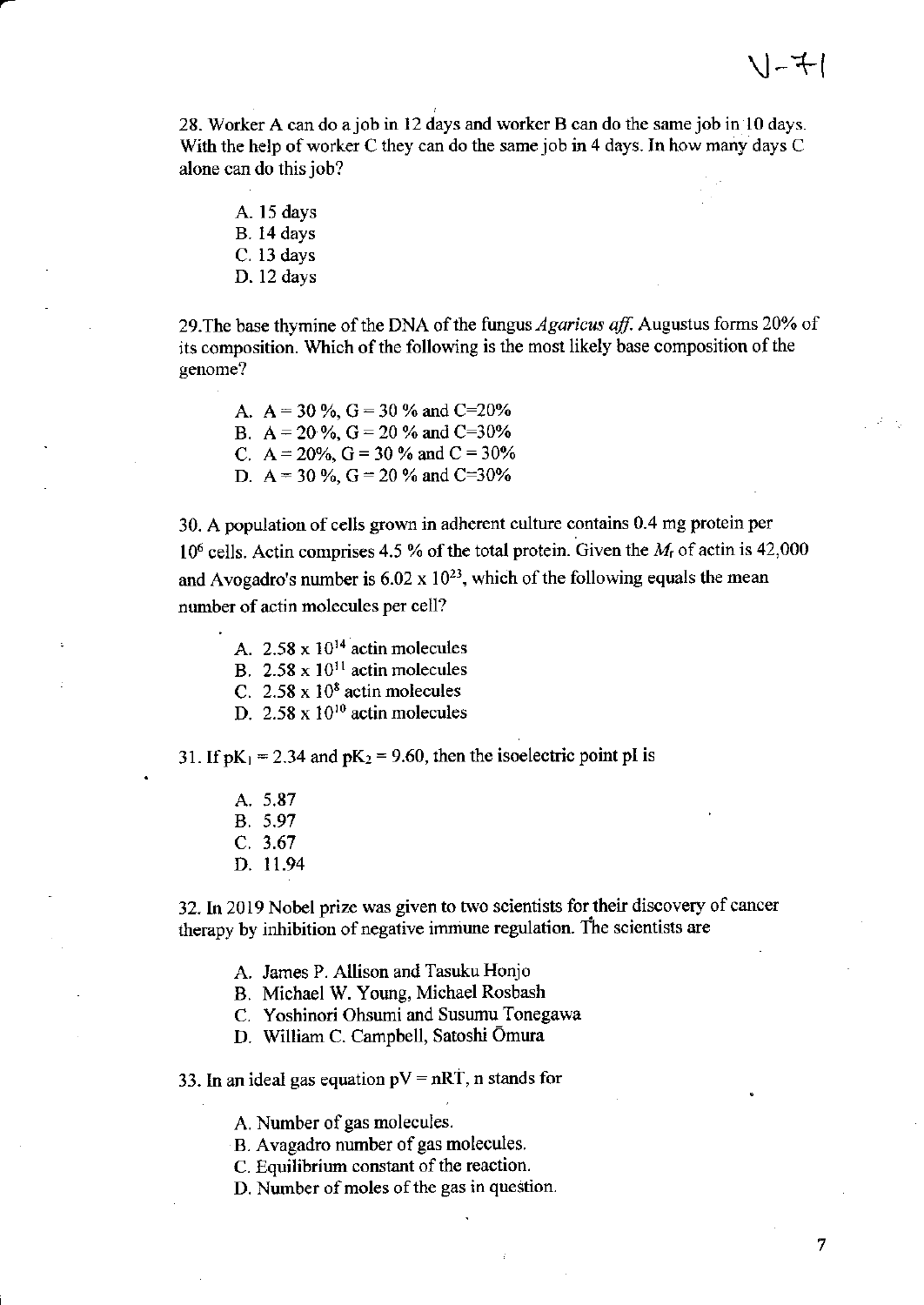28. Worker A can do ajob in l2 days and worker B can do the samejob in l0 days. With the help of worker C they can do the same job in 4 days. In how many days C alone can do this job?

A. 15 days B. l4 days C. 13 days D. 12 days

29. The base thymine of the DNA of the fungus *Agaricus aff.* Augustus forms 20% of its composition. Which of the following is the most likely base composition of the genome?

A.  $A = 30\%$ ,  $G = 30\%$  and C=20% B.  $A = 20\%$ ,  $G = 20\%$  and  $C = 30\%$ C. A = 20%, G = 30 % and C = 30% D. A = 30 %, G = 20 % and C=30%

30. A population of cells grown in adherent culture contains 0.4 mg protein per  $10^6$  cells. Actin comprises 4.5 % of the total protein. Given the  $M<sub>r</sub>$  of actin is 42,000 and Avogadro's number is  $6.02 \times 10^{23}$ , which of the following equals the mean number of actin molecules per cell?

- A.  $2.58 \times 10^{14}$  actin molecules
- B.  $2.58 \times 10^{11}$  actin molecules
- C.  $2.58 \times 10^8$  actin molecules
- D.  $2.58 \times 10^{10}$  actin molecules

31. If  $pK_1 = 2.34$  and  $pK_2 = 9.60$ , then the isoelectric point pl is

- A.5.87
- B. 5.97
- c.3.67
- D. 11.94

32. In 2019 Nobel prize was given to two scientists for their discovery of cancer therapy by inhibition of negative immune regulation. The scientists are

- A. James P. Allison and Tasuku Honjo
- B. Michael W. Young, Michael Rosbash
- C. Yoshinori Ohsumi and Susumu Tonegawa
- D. william C. Campbell. Satoshi Omura

33. In an ideal gas equation  $pV = nRT$ , n stands for

A. Number of gas molecules.

- B. Avagadro number of gas molecules.
- C. Equilibrium constant of the reaction.
- D. Number of moles of the gas in question.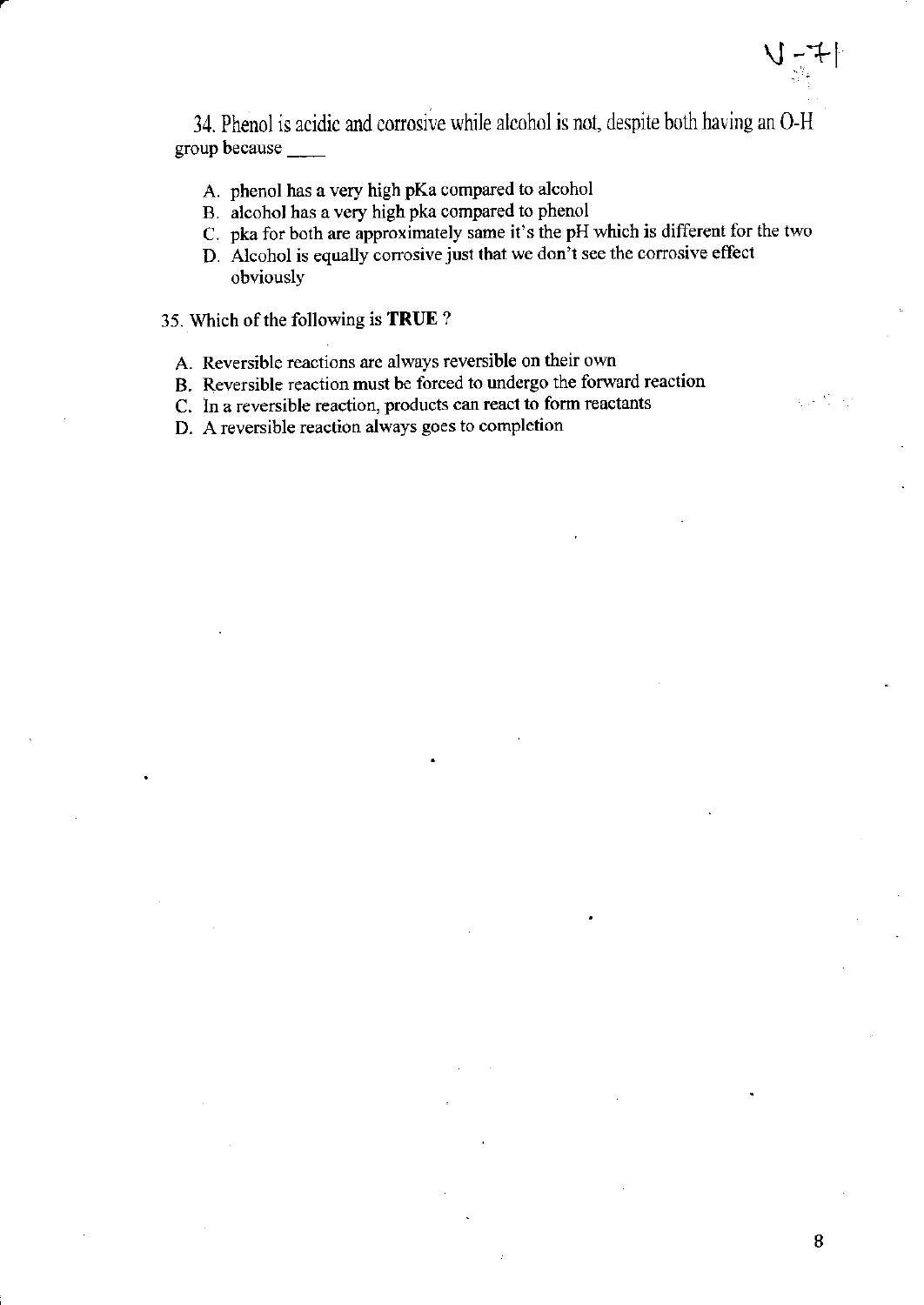- A. phenol has a very high pKa compared to alcohol
- B. alcohol has a very high pka compared to phenol
- C. pka for both are approximately same it's the pH which is different for the two
- D. Alcohol is equally corrosive just that we don't see the corrosive effect obviously

35. Which of the following is TRUE ?

- A. Reversible reactions are always teversible on their own
- B. Reversible reaction must be forced to undergo the forward reaction
- C. In a reversible reaction, products can react to form reactants

D. A reversible reaction always goes to completion

u:+l

2020)<br>2020 - Carl Carl Carl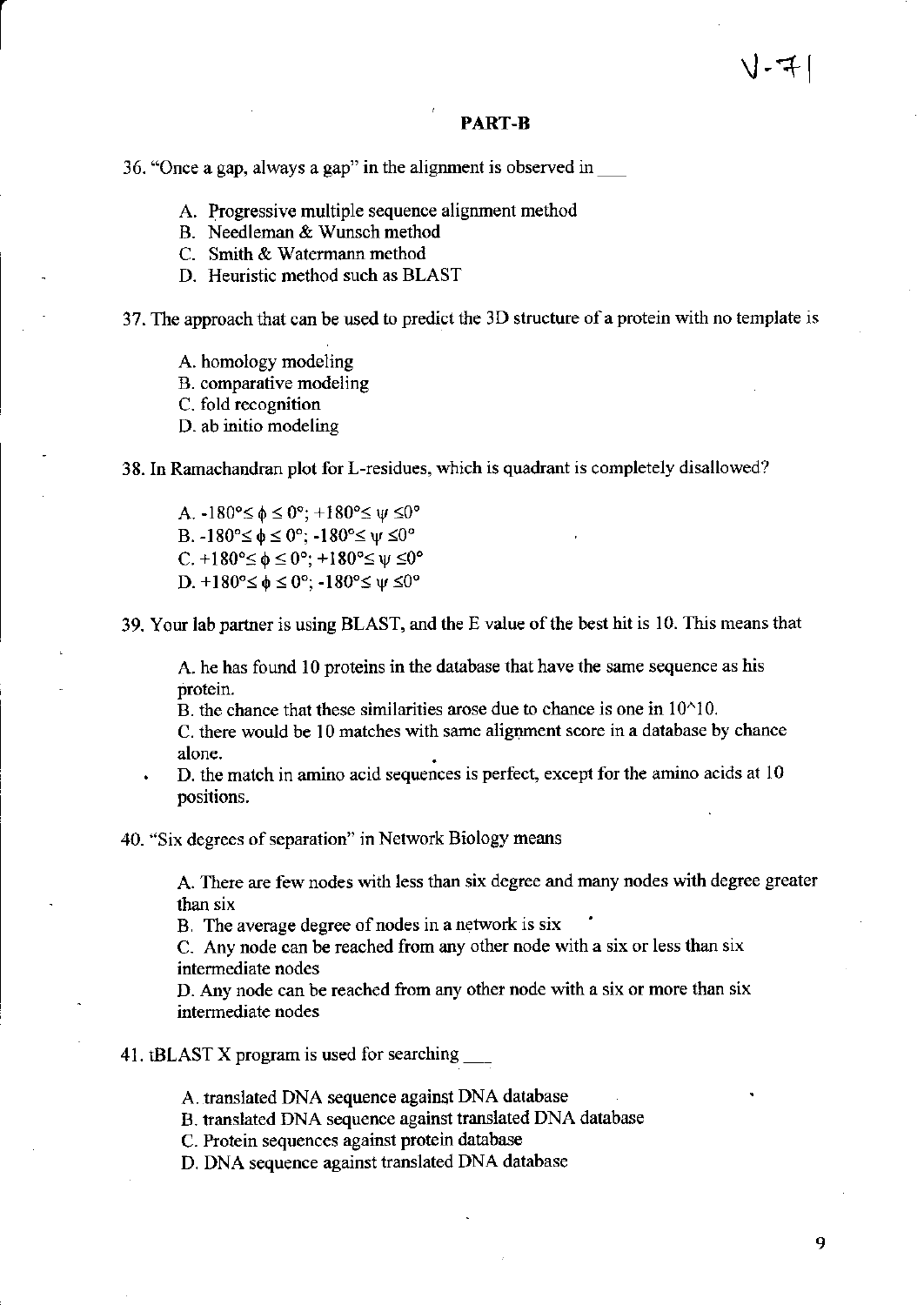#### PART-B

36. "Once a gap, always a gap" in the alignment is observed in

- A. Progressive multiple sequence alignment method
- B. Needleman & Wunsch method
- C. Smith & Watemann method
- D. Heuristic method such as BLAST

37. The approach that can be used to predict the 3D structure of a protein with no template is

- A. homology modeling
- B. comparative modeling
- C. fold recognition
- D. ab initio modeling

38. In Ramachandran plot for L-residues, which is quadrant is completely disallowed?

A.  $-180^{\circ} \le \phi \le 0^{\circ}$ ;  $+180^{\circ} \le \psi \le 0^{\circ}$ B.  $-180^{\circ} \le \phi \le 0^{\circ}$ ;  $-180^{\circ} \le \psi \le 0^{\circ}$ C.  $+180^{\circ} \leq \phi \leq 0^{\circ}$ ;  $+180^{\circ} \leq \psi \leq 0^{\circ}$ D.  $+180^{\circ} \leq \phi \leq 0^{\circ}$ ;  $-180^{\circ} \leq \psi \leq 0^{\circ}$ 

39. Your lab partner is using BLAST, and the E value of the best hit is 10. This means that

A. he has found 10 proteins in the database that have the same sequence as his protein.

B. the chance that these similarities arose due to chance is one in  $10^{\wedge}10$ .

C. there would be l0 matches with same alignment score in a database by chance alone.

. D. the match in amino acid sequences is perfect, except for the amino acids at <sup>10</sup> positions.

40. "Six degrees of separation" in Network Biology means

A. There are few nodes with less than six degree and many nodes witi degree greater than six

B. The average degree of nodes in a network is six

C- Any node can be reached from any other node with a six or less than six intermediate nodes

D. Any node can be reached from any other node with a six or more than six intermediate nodes

41. tBLAST X program is used for searching \_\_\_

.<br>A. translated DNA sequence against DNA database

B. translated DNA sequence against translated DNA database

C. Protein sequences against protein database

D. DNA sequence against translated DNA database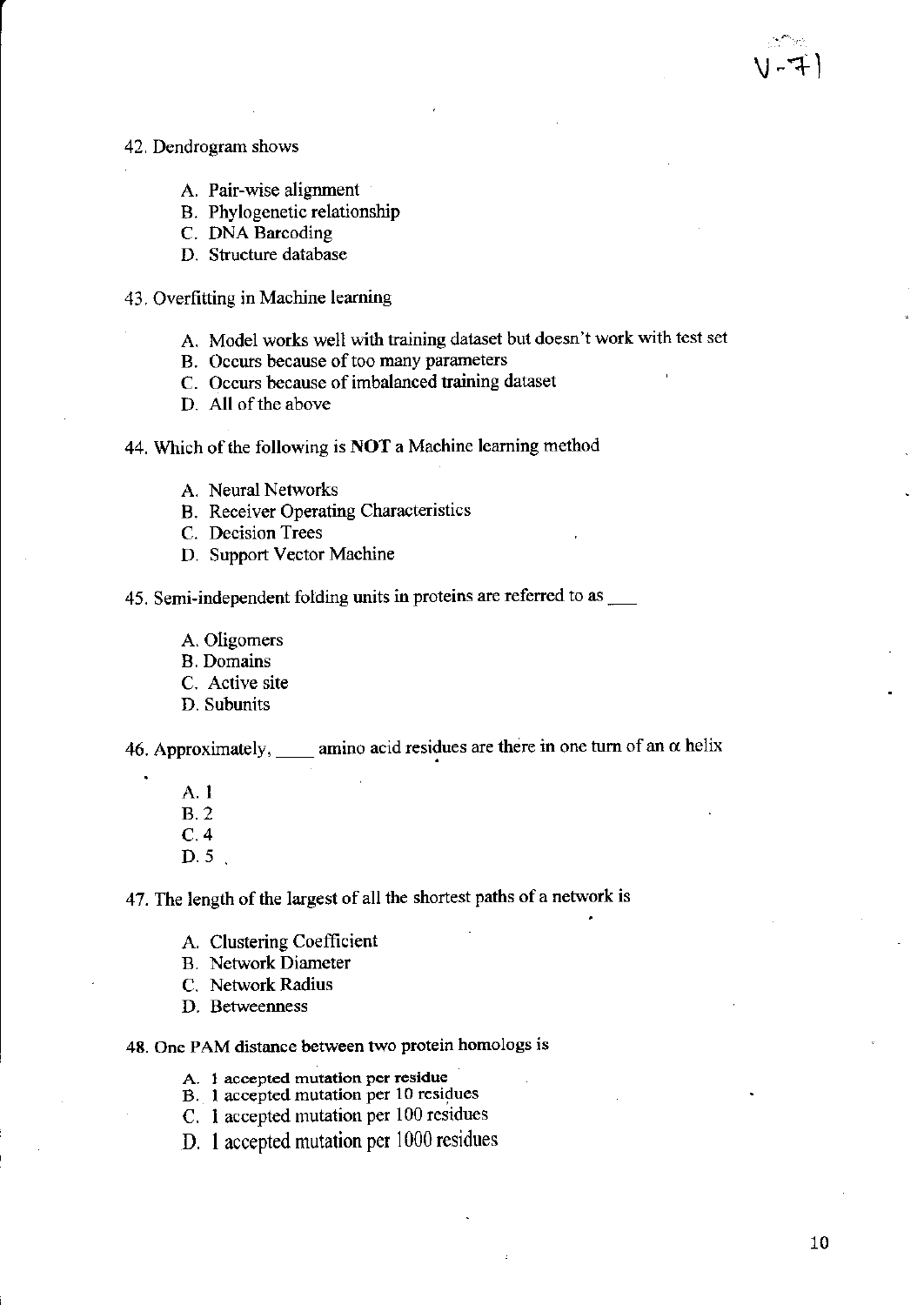#### 42. Dcndrogram shows

- A. Pair-wise alignment
- B. Phylogenetic relationship
- C. DNA Barcoding
- D. Structure database
- .13. Overfitting in Machine leaming
	- A. Model works well with training dataset but doesn't work with test set
	- B. Occurs because of too many parameters
	- C. Occurs because of imbalanced taining dataset
	- D. All of the above

44. Which of the following is NOT a Machine leaming method

- A. Neural Networks
- B. Receiver Openting Characteristics
- C. Decision Trees
- D. Support Vector Machine

45. Semi-independent folding units in proteins are referred to as

- A. Oligomers
- B. Domains
- C. Active site
- D. Subunits

46. Approximately, <u>amino acid residues are there in one turn of an  $\alpha$  helix</u>

- A. I
- 8.2
- c.4
- D.5.

47. The length of the largest of all the shortest paths of a network is

- A. Clustering Coefficient
- B. Network Diameter
- C. Network Radius
- D. Betweenness

48. One PAM distance between two protein homologs is

- A. 1 accepted mutation per residue
- B. 1 accepted mutation per 10 residues
- C. I accepted mutation per l00 residues
- D. I accepted mutation per 1000 residues

<sup>v</sup>-+l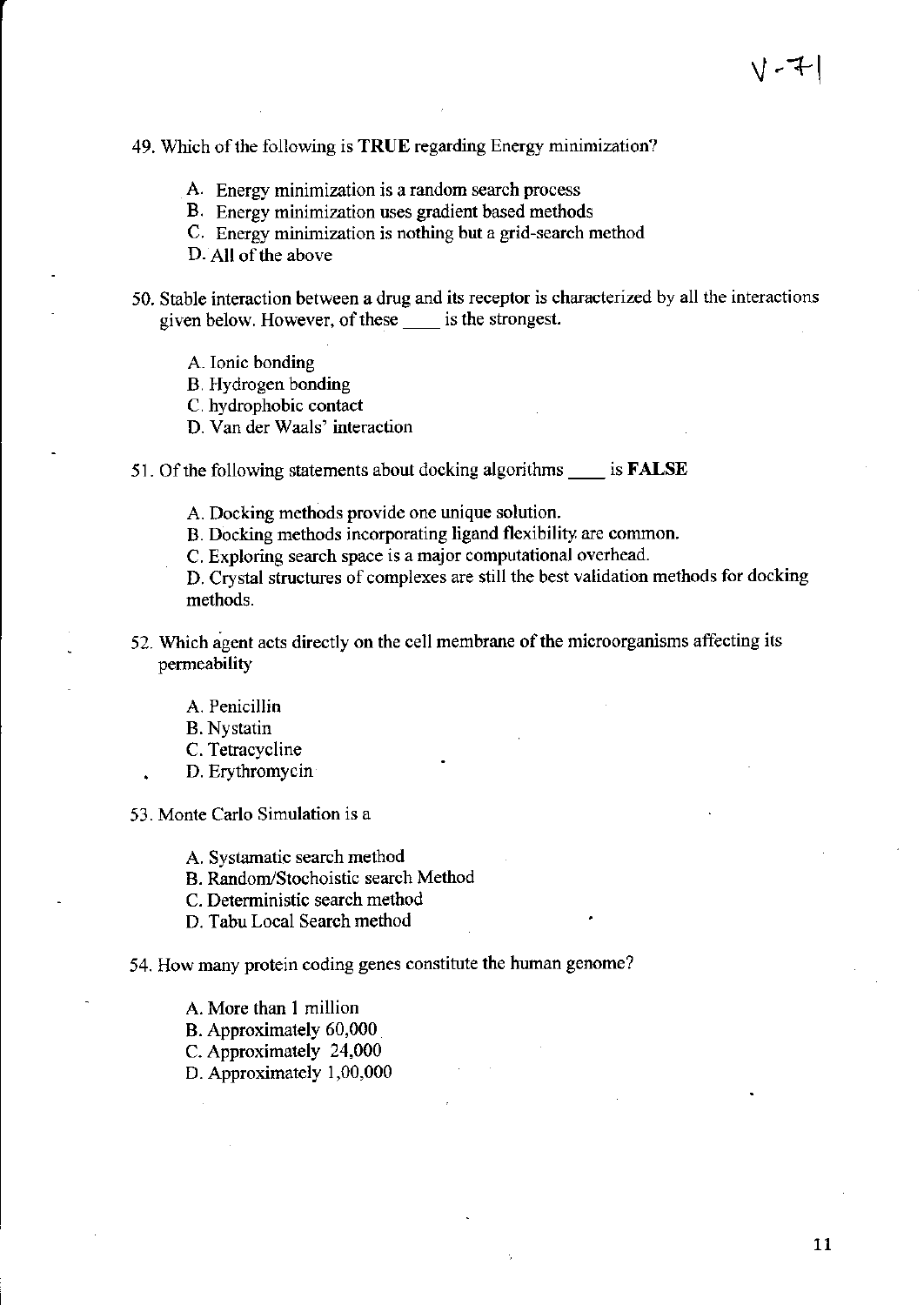# 49. Which of the following is TRUE regarding Energy minimization?

- A. Energy minimization is a random search process
- B. Energy minimization uses gradient based methods
- C. Energy minimization is nothing but a grid-search method
- D. All of the above
- 50. Stable interaction between a drug and its receptor is characlerized by all the interactions given below. However, of these is the strongest.
	- A. Ionic bonding
	- B. Hydrogen bonding
	- C. hydrophobic contact
	- D. Van der Waals' interaction
- 51. Of the following statements about docking algorithms \_\_\_\_\_ is **FALSE** 
	- A. Docking methods provide one unique solution.
	- B. Docking methods incorporating ligand flexibility are common.
	- C. Exploring search space is a major computational overhead.

D. Crystal structures of complexes are still the best validation methods for docking methods.

- 52. Which agent acts directly on the cell membrane of the microorganisms affecting its permeability
	- A. Penicillin
	- B. Nystatin
	- C. Tetracycline
	- D. Erythromycin
- 53. Monte Carlo Simulation is a
	- A. Systamatic search method
	- B. Random/Stochoistic search Method
	- C. Deterministic search method
	- D. Tabu Local Search method

#### 54. How many protein coding genes constitute the human genome?

- A. More than I million
- B. Approximately 60,000
- C. Approximately 24,000
- D. Approximately 1,00,000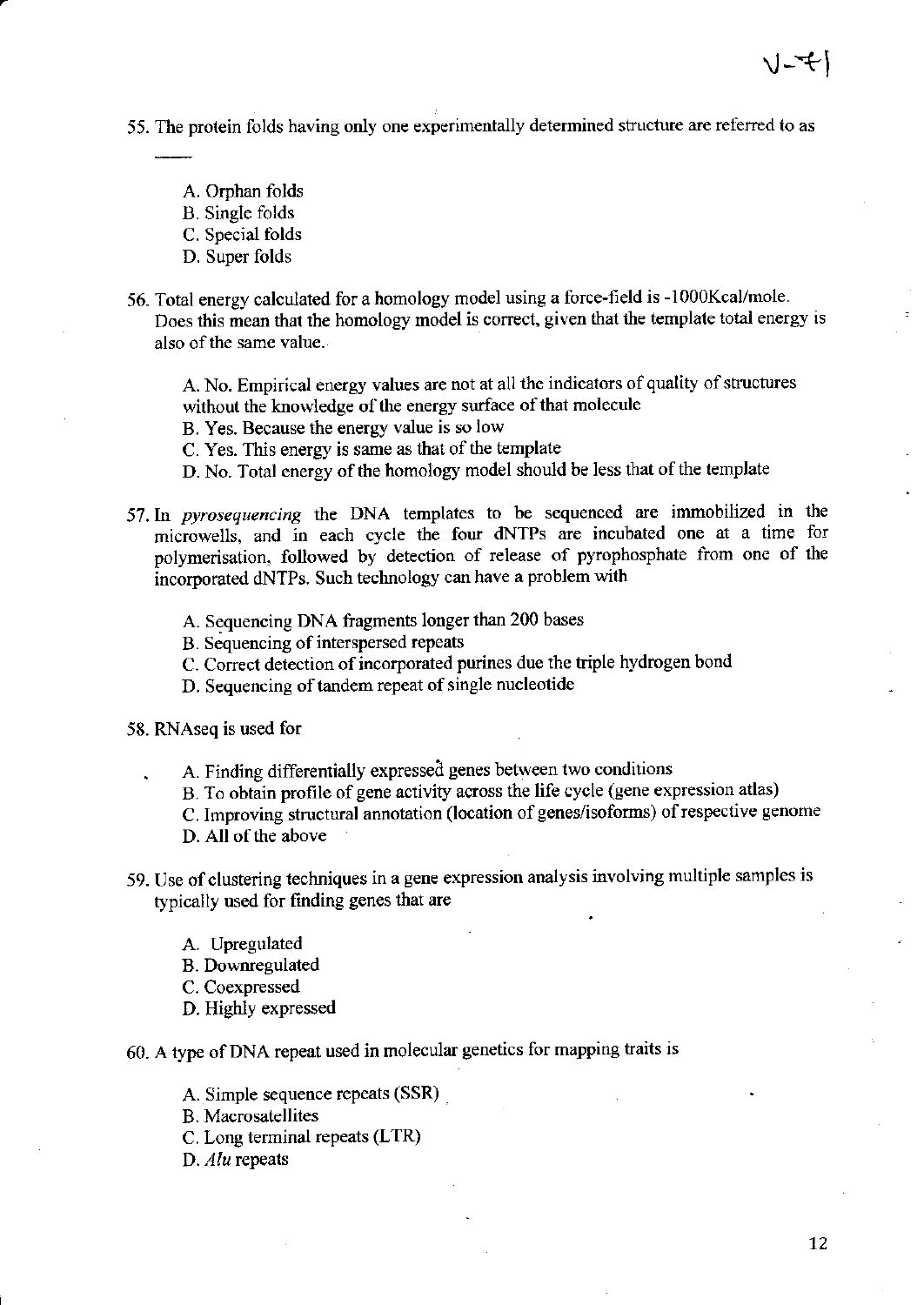- 55. The protein folds having only one experimentally determined structure are referred to as
	- A. Orphan folds
	- B. Single folds
	- C. Special folds
	- D. Super folds
- 56. Total energy calculated for a homology model using a force-field is -1000Kcal/mole. Does this mean that the homology model is correct, given that the template total energy is also of the same value.

A. No. Empirical energy values are not at all the indicators of quality of structures without the knowledge of the energy surface of that molecule

B. Yes. Because the energy value is so low

C. Yes. This energy is same as that of the template

D. No. Total energy of the homology model should be less that of the template

- 57. In pyrosequencing the DNA templates to be sequenced are immobilized in the microwells, and in each cycle the four dNTPs are incubated one at a time for polymerisation, followed by detection of release of pyrophosphate from one of the incorporated dNTPs. Such technology can have a problem with
	- A. Sequencing DNA fragments longer than 200 bases
	- B. Sequencing of interspersed repeats
	- C. Correct detection of incorporated purines due the triple hydrogen bond
	- D. Sequencing of tandem repeat of single nucleotide
- 58. RNAseq is used for
	- A. Finding differentially expressed genes between two conditions
	- B. To obtain profile of gene activity across the life cycle (gene expression atlas)

C. Improving structural annotation (location of genes/isoforms) of respective genome D. All of the above

59. Use of clustering techniques in a gene expression analysis involving multiple samples is

typically used for finding genes that are

- A. Upregulated
- B. Downregulated
- C. Coexpressed
- D. Highly expressed
- 60. A type of DNA repeat used in molecular genetics for mapping traits is

A. Simple sequence repeats (SSR)

B. Macrosatellites

C. Long terminal repeats (LTR)

D. AIU rcpeats

( ) - マー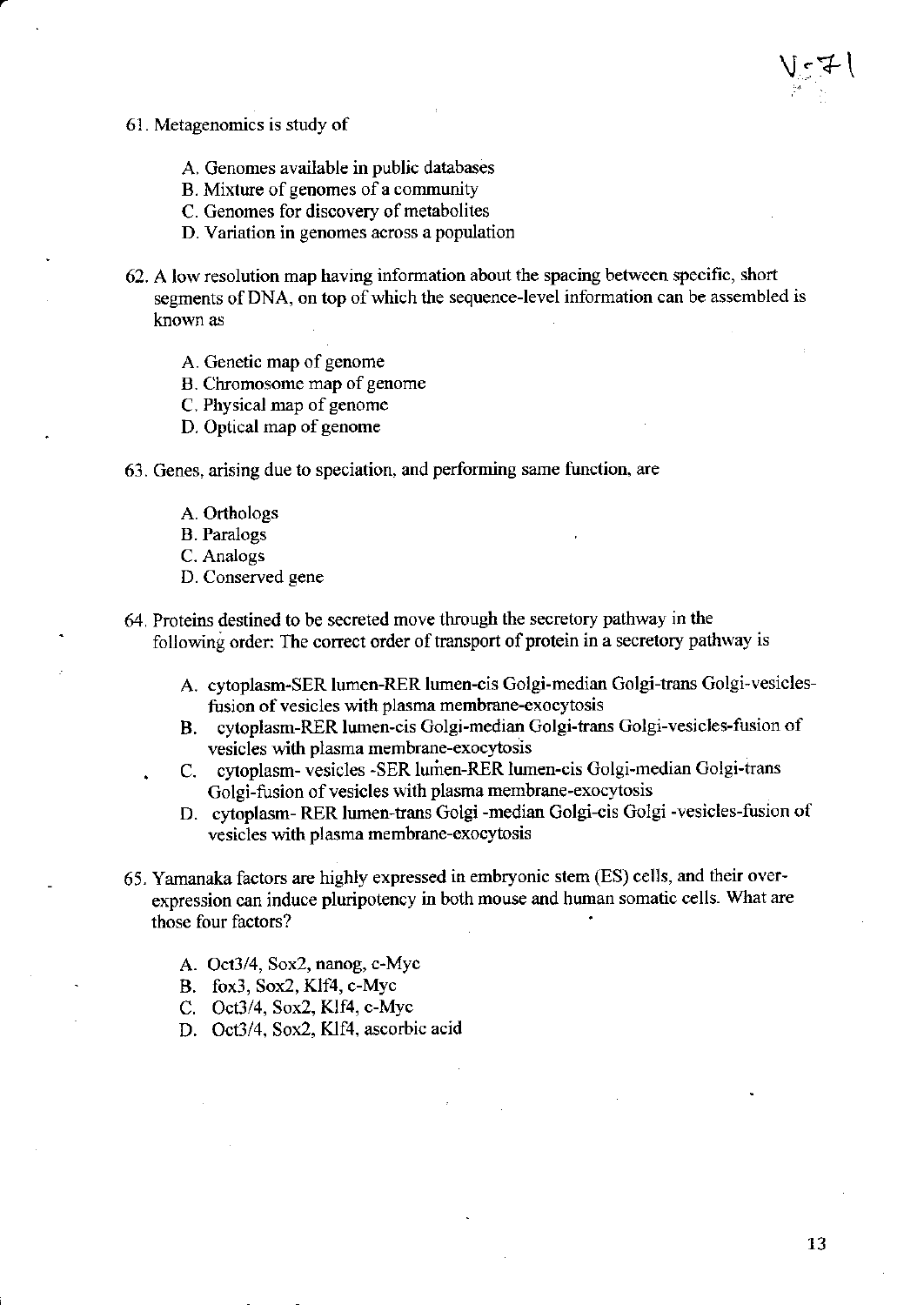- 6l . Metagenomics is study of
	- A. Cenomes available in public databases
	- B. Mixture of genomes of a community
	- C. Genomes for discovery of metabolites
	- D. Variation in genomes across a population
- 62. A low resolution map having information about the spacing between specific, short segments of DNA, on top of which the sequence-level information can be assembled is known as
	- A. Genetic map of genome
	- B. Chromosome map of genome
	- C. Physical map of genome
	- D. Optical map of genome
- 63. Genes, arising due to speciation, and performing same function, are
	- A. Orthologs
	- B. Pamlogs
	- C. Analogs
	- D. Conserved gene
- 64. Proteins destined to be secreted move through the secretory pathway in the following order: The correct order of transport of protein in a secretory pathway is
	- A. cytoplasm-SER lumen-RER lumen-cis Golgi-median Golgi-trans Golgi-vesiclesfusion of vesicles with plasma membrane-exocytosis
	- B. cytoplasm-RER lumen-cis Golgi-median Colgi-trans Golgi-vesicles-fusion of vesicles with plasma membrane-exocytosis
	- C. cytoplasm- vesicles -SER lumen-RER lumen-cis Golgi-median Golgi-trans Golgi-fusion of vesicles with plasma membrane-exocytosis
	- D. cytoplasm- RER lumen-trans Golgi -median Golgi-cis Golgi -vesicles-fusion of vesicles with plasma membrane-exocytosis
- 65. Yarnanaka factors are highly expressed in embryonic stem (ES) cells, and their overexpression can induce pluripotency in both mouse and human somatic cells. What are those four factors?
	- A. Oct3/4, Sox2, nanog, c-Myc
	- B. fox3, Sox2, Klf4, c-Myc
	- C. Oct3/4, Sox2, Klf4, c-Myc
	- D. Oct3/4, Sox2, Klf4, ascorbic acid

 $V_{\mathbb{C}}$ 7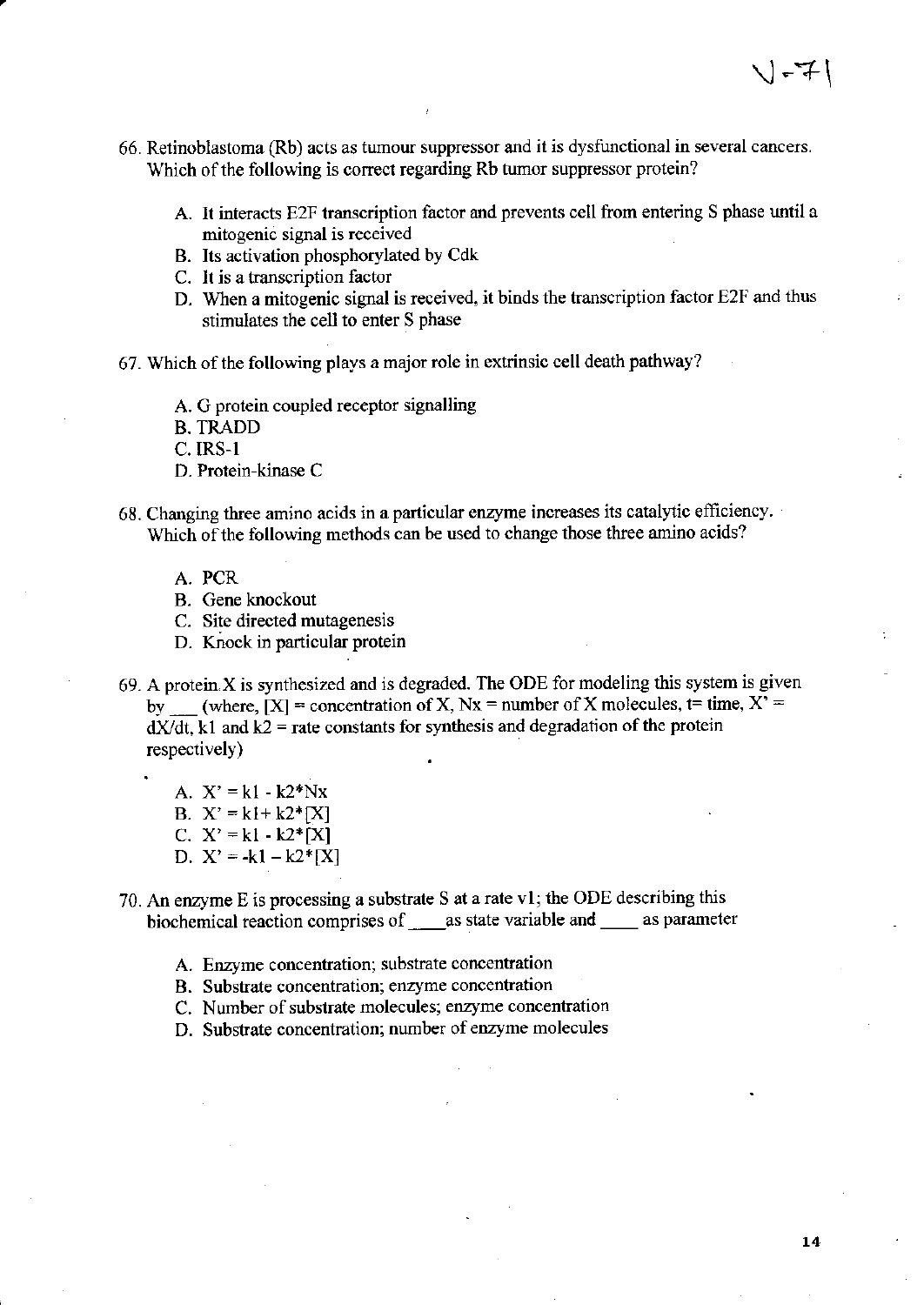- 66. Retinoblastoma (Rb) acts as tumour suppressor and it is dysfunctional in seveml cancers. Which of the following is correct regarding Rb tumor suppressor protein?
	- A. It interacts E2F transcription factor and prevents cell from entering S phase until a mitogenic signal is received
	- B. Its activation phosphorylated by Cdk
	- C. It is a transcription factor
	- D. When a mitogenic signal is received, it binds the transcription factor E2F and thus stimulates the cell to enter S phase
- 67. Which of the following plays a major role in extrinsic cell death pathway?
	- A. G protein coupled receptor signalling
	- B. TRADD

c. IRS-l

- D. Protein-kinase C
- 68. Changing three amino acids in a particular enzyme increases its catalytic efficiency. Which of the following methods can be used to change those three amino acids?
	- A. PCR
	- B. Gene knockout
	- C. Site directed mutagenesis
	- D. Knock in particular protein
- 69. A protein.X is synthesized and is degraded. The ODE for modeling this system is given  $\mathbf{b} \mathbf{v}$ (where,  $[X]$  = concentration of X, Nx = number of X molecules, t= time,  $X'$  =  $dX/dt$ , k1 and  $k2$  = rate constants for synthesis and degradation of the protein respectively)

A.  $X' = k1 - k2*Nx$ B.  $X' = k1 + k2 * [X]$ c.  $X' = k1 - k2*[X]$ D.  $X' = -k1 - k2* [X]$ 

- 70. An enzyme E is processing a substrate S at a rate vl; the ODE describing this biochemical reaction comprises of  $\_\_\_\_\$ as state variable and  $\_\_\_\_\_\$ as parameter
	- A. Enzyme concentration; substrate concentration
	- B. Substrate concentration; enzyme concentration
	- C. Number of substrate molecules; enzyme concentration
	- D. Substrate concentration; number of enzyme molecules